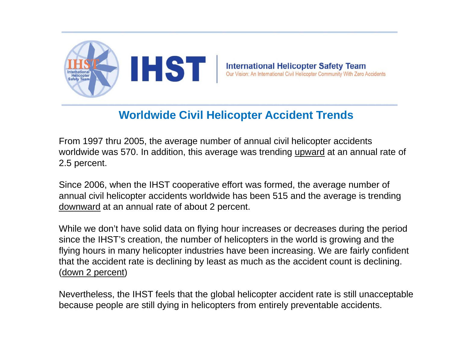

**International Helicopter Safety Team**<br>Our Vision: An International Civil Helicopter Community With Zero Accidents

#### **Worldwide Civil Helicopter Accident Trends**

From 1997 thru 2005, the average number of annual civil helicopter accidents worldwide was 570. In addition, this average was trending upward at an annual rate of 2.5 percent.

Since 2006, when the IHST cooperative effort was formed, the average number of annual civil helicopter accidents worldwide has been 515 and the average is trending downward at an annual rate of about 2 percent.

While we don't have solid data on flying hour increases or decreases during the period since the IHST's creation, the number of helicopters in the world is growing and the flying hours in many helicopter industries have been increasing. We are fairly confident that the accident rate is declining by least as much as the accident count is declining. (down 2 percent)

Nevertheless, the IHST feels that the global helicopter accident rate is still unacceptable because people are still dying in helicopters from entirely preventable accidents.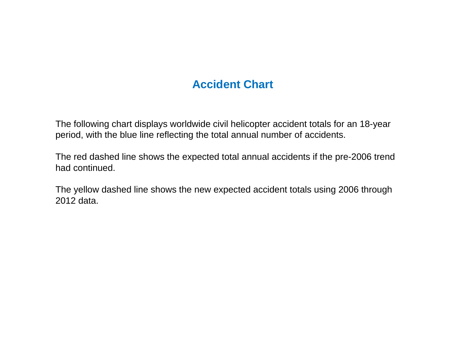### **Accident Chart**

The following chart displays worldwide civil helicopter accident totals for an 18-year period, with the blue line reflecting the total annual number of accidents.

The red dashed line shows the expected total annual accidents if the pre-2006 trend had continued.

The yellow dashed line shows the new expected accident totals using 2006 through 2012 data.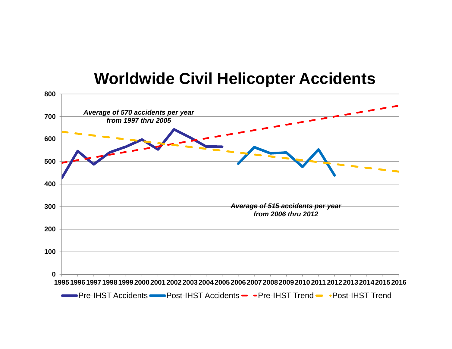# **Worldwide Civil Helicopter Accidents**

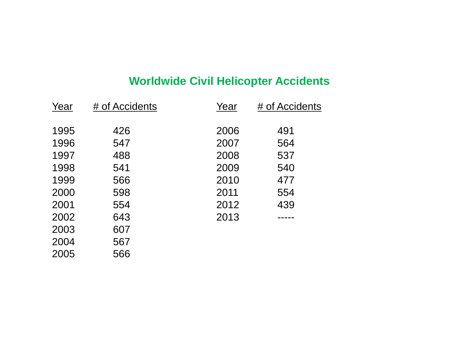## **Worldwide Civil Helicopter Accidents**

| Year | # of Accidents | Year | # of Accidents |
|------|----------------|------|----------------|
| 1995 | 426            | 2006 | 491            |
| 1996 | 547            | 2007 | 564            |
| 1997 | 488            | 2008 | 537            |
| 1998 | 541            | 2009 | 540            |
| 1999 | 566            | 2010 | 477            |
| 2000 | 598            | 2011 | 554            |
| 2001 | 554            | 2012 | 439            |
| 2002 | 643            | 2013 |                |
| 2003 | 607            |      |                |
| 2004 | 567            |      |                |

566